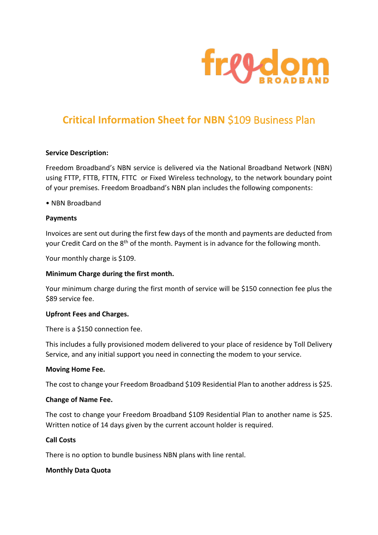

# **Critical Information Sheet for NBN** \$109 Business Plan

#### **Service Description:**

Freedom Broadband's NBN service is delivered via the National Broadband Network (NBN) using FTTP, FTTB, FTTN, FTTC or Fixed Wireless technology, to the network boundary point of your premises. Freedom Broadband's NBN plan includes the following components:

#### • NBN Broadband

#### **Payments**

Invoices are sent out during the first few days of the month and payments are deducted from your Credit Card on the 8<sup>th</sup> of the month. Payment is in advance for the following month.

Your monthly charge is \$109.

# **Minimum Charge during the first month.**

Your minimum charge during the first month of service will be \$150 connection fee plus the \$89 service fee.

#### **Upfront Fees and Charges.**

There is a \$150 connection fee.

This includes a fully provisioned modem delivered to your place of residence by Toll Delivery Service, and any initial support you need in connecting the modem to your service.

#### **Moving Home Fee.**

The cost to change your Freedom Broadband \$109 Residential Plan to another address is \$25.

#### **Change of Name Fee.**

The cost to change your Freedom Broadband \$109 Residential Plan to another name is \$25. Written notice of 14 days given by the current account holder is required.

#### **Call Costs**

There is no option to bundle business NBN plans with line rental.

# **Monthly Data Quota**